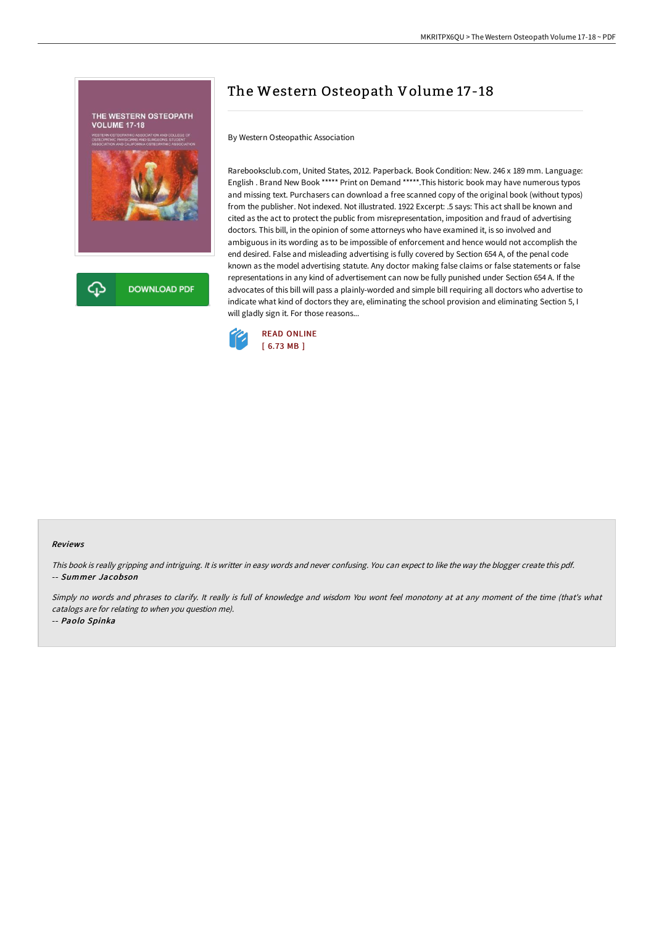

## The Western Osteopath Volume 17-18

By Western Osteopathic Association

Rarebooksclub.com, United States, 2012. Paperback. Book Condition: New. 246 x 189 mm. Language: English . Brand New Book \*\*\*\*\* Print on Demand \*\*\*\*\*.This historic book may have numerous typos and missing text. Purchasers can download a free scanned copy of the original book (without typos) from the publisher. Not indexed. Not illustrated. 1922 Excerpt: .5 says: This act shall be known and cited as the act to protect the public from misrepresentation, imposition and fraud of advertising doctors. This bill, in the opinion of some attorneys who have examined it, is so involved and ambiguous in its wording as to be impossible of enforcement and hence would not accomplish the end desired. False and misleading advertising is fully covered by Section 654 A, of the penal code known as the model advertising statute. Any doctor making false claims or false statements or false representations in any kind of advertisement can now be fully punished under Section 654 A. If the advocates of this bill will pass a plainly-worded and simple bill requiring all doctors who advertise to indicate what kind of doctors they are, eliminating the school provision and eliminating Section 5, I will gladly sign it. For those reasons...



## Reviews

This book is really gripping and intriguing. It is writter in easy words and never confusing. You can expect to like the way the blogger create this pdf. -- Summer Jacobson

Simply no words and phrases to clarify. It really is full of knowledge and wisdom You wont feel monotony at at any moment of the time (that's what catalogs are for relating to when you question me).

-- Paolo Spinka